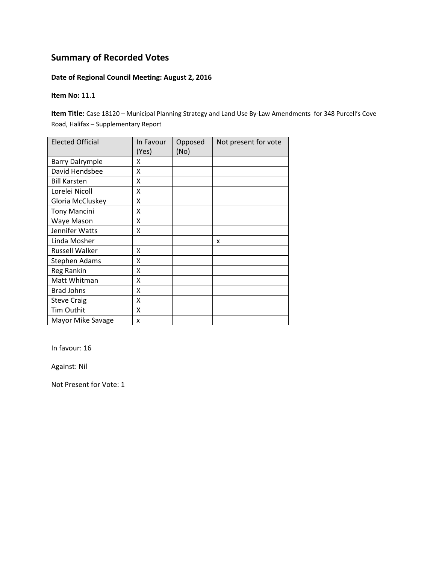#### **Date of Regional Council Meeting: August 2, 2016**

**Item No:** 11.1

**Item Title:** Case 18120 – Municipal Planning Strategy and Land Use By‐Law Amendments for 348 Purcell's Cove Road, Halifax – Supplementary Report

| <b>Elected Official</b> | In Favour<br>(Yes) | Opposed<br>(No) | Not present for vote |
|-------------------------|--------------------|-----------------|----------------------|
| <b>Barry Dalrymple</b>  | x                  |                 |                      |
| David Hendsbee          | X                  |                 |                      |
| <b>Bill Karsten</b>     | X                  |                 |                      |
| Lorelei Nicoll          | X                  |                 |                      |
| Gloria McCluskey        | X                  |                 |                      |
| <b>Tony Mancini</b>     | X                  |                 |                      |
| Waye Mason              | Χ                  |                 |                      |
| Jennifer Watts          | X                  |                 |                      |
| Linda Mosher            |                    |                 | x                    |
| <b>Russell Walker</b>   | x                  |                 |                      |
| <b>Stephen Adams</b>    | x                  |                 |                      |
| <b>Reg Rankin</b>       | Χ                  |                 |                      |
| Matt Whitman            | χ                  |                 |                      |
| <b>Brad Johns</b>       | Χ                  |                 |                      |
| <b>Steve Craig</b>      | Χ                  |                 |                      |
| Tim Outhit              | X                  |                 |                      |
| Mayor Mike Savage       | x                  |                 |                      |

In favour: 16

Against: Nil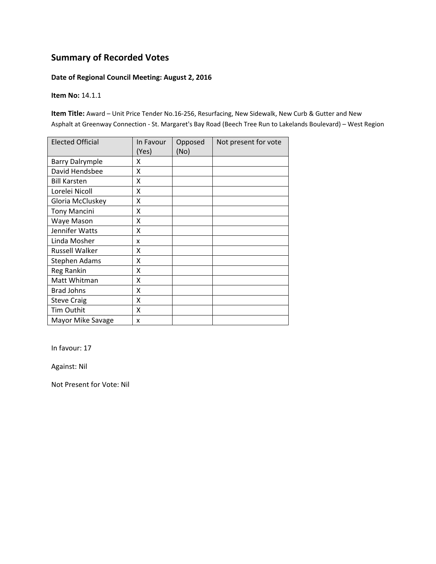#### **Date of Regional Council Meeting: August 2, 2016**

**Item No:** 14.1.1

**Item Title:** Award – Unit Price Tender No.16‐256, Resurfacing, New Sidewalk, New Curb & Gutter and New Asphalt at Greenway Connection ‐ St. Margaret's Bay Road (Beech Tree Run to Lakelands Boulevard) – West Region

| <b>Elected Official</b> | In Favour | Opposed | Not present for vote |
|-------------------------|-----------|---------|----------------------|
|                         | (Yes)     | (No)    |                      |
| <b>Barry Dalrymple</b>  | x         |         |                      |
| David Hendsbee          | X         |         |                      |
| <b>Bill Karsten</b>     | Χ         |         |                      |
| Lorelei Nicoll          | X         |         |                      |
| Gloria McCluskey        | Χ         |         |                      |
| <b>Tony Mancini</b>     | Χ         |         |                      |
| Waye Mason              | x         |         |                      |
| Jennifer Watts          | Χ         |         |                      |
| Linda Mosher            | x         |         |                      |
| Russell Walker          | Χ         |         |                      |
| <b>Stephen Adams</b>    | χ         |         |                      |
| Reg Rankin              | Χ         |         |                      |
| Matt Whitman            | Χ         |         |                      |
| <b>Brad Johns</b>       | Χ         |         |                      |
| <b>Steve Craig</b>      | X         |         |                      |
| Tim Outhit              | X         |         |                      |
| Mayor Mike Savage       | x         |         |                      |

In favour: 17

Against: Nil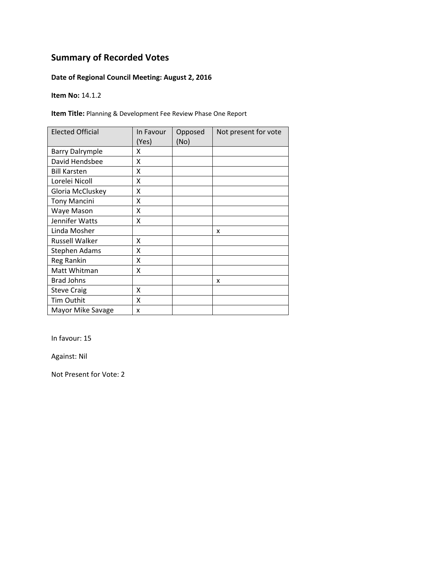### **Date of Regional Council Meeting: August 2, 2016**

**Item No:** 14.1.2

**Item Title:** Planning & Development Fee Review Phase One Report

| <b>Elected Official</b> | In Favour<br>(Yes) | Opposed<br>(No) | Not present for vote |
|-------------------------|--------------------|-----------------|----------------------|
| <b>Barry Dalrymple</b>  | x                  |                 |                      |
| David Hendsbee          | x                  |                 |                      |
| <b>Bill Karsten</b>     | x                  |                 |                      |
| Lorelei Nicoll          | X                  |                 |                      |
| Gloria McCluskey        | X                  |                 |                      |
| <b>Tony Mancini</b>     | Χ                  |                 |                      |
| Waye Mason              | Χ                  |                 |                      |
| Jennifer Watts          | x                  |                 |                      |
| Linda Mosher            |                    |                 | x                    |
| <b>Russell Walker</b>   | x                  |                 |                      |
| Stephen Adams           | x                  |                 |                      |
| Reg Rankin              | X                  |                 |                      |
| Matt Whitman            | Χ                  |                 |                      |
| <b>Brad Johns</b>       |                    |                 | x                    |
| <b>Steve Craig</b>      | x                  |                 |                      |
| <b>Tim Outhit</b>       | X                  |                 |                      |
| Mayor Mike Savage       | X                  |                 |                      |

In favour: 15

Against: Nil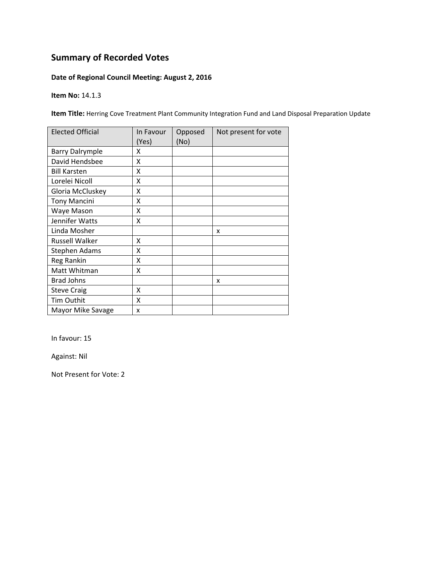### **Date of Regional Council Meeting: August 2, 2016**

**Item No:** 14.1.3

**Item Title:** Herring Cove Treatment Plant Community Integration Fund and Land Disposal Preparation Update

| <b>Elected Official</b> | In Favour<br>(Yes) | Opposed<br>(No) | Not present for vote |
|-------------------------|--------------------|-----------------|----------------------|
| <b>Barry Dalrymple</b>  | x                  |                 |                      |
| David Hendsbee          | X                  |                 |                      |
| <b>Bill Karsten</b>     | x                  |                 |                      |
| Lorelei Nicoll          | X                  |                 |                      |
| Gloria McCluskey        | Χ                  |                 |                      |
| <b>Tony Mancini</b>     | Χ                  |                 |                      |
| Waye Mason              | x                  |                 |                      |
| Jennifer Watts          | x                  |                 |                      |
| Linda Mosher            |                    |                 | x                    |
| <b>Russell Walker</b>   | Χ                  |                 |                      |
| <b>Stephen Adams</b>    | Χ                  |                 |                      |
| Reg Rankin              | X                  |                 |                      |
| Matt Whitman            | X                  |                 |                      |
| <b>Brad Johns</b>       |                    |                 | x                    |
| <b>Steve Craig</b>      | X                  |                 |                      |
| <b>Tim Outhit</b>       | X                  |                 |                      |
| Mayor Mike Savage       | X                  |                 |                      |

In favour: 15

Against: Nil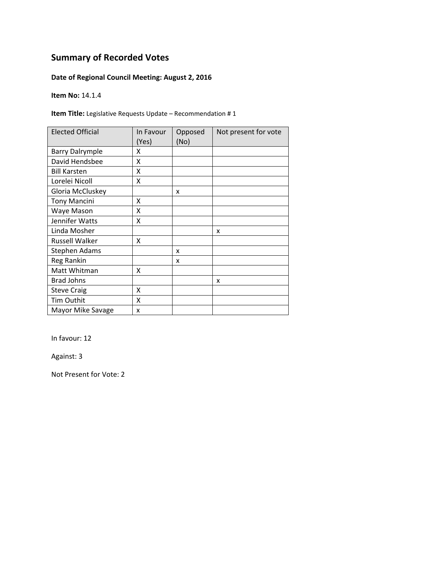### **Date of Regional Council Meeting: August 2, 2016**

**Item No:** 14.1.4

**Item Title:** Legislative Requests Update – Recommendation # 1

| <b>Elected Official</b> | In Favour<br>(Yes) | Opposed<br>(No) | Not present for vote |
|-------------------------|--------------------|-----------------|----------------------|
| <b>Barry Dalrymple</b>  | x                  |                 |                      |
| David Hendsbee          | X                  |                 |                      |
| <b>Bill Karsten</b>     | x                  |                 |                      |
| Lorelei Nicoll          | X                  |                 |                      |
| Gloria McCluskey        |                    | X               |                      |
| <b>Tony Mancini</b>     | Χ                  |                 |                      |
| Waye Mason              | Χ                  |                 |                      |
| Jennifer Watts          | x                  |                 |                      |
| Linda Mosher            |                    |                 | x                    |
| <b>Russell Walker</b>   | x                  |                 |                      |
| <b>Stephen Adams</b>    |                    | x               |                      |
| Reg Rankin              |                    | x               |                      |
| Matt Whitman            | X                  |                 |                      |
| <b>Brad Johns</b>       |                    |                 | x                    |
| <b>Steve Craig</b>      | x                  |                 |                      |
| <b>Tim Outhit</b>       | X                  |                 |                      |
| Mayor Mike Savage       | X                  |                 |                      |

In favour: 12

Against: 3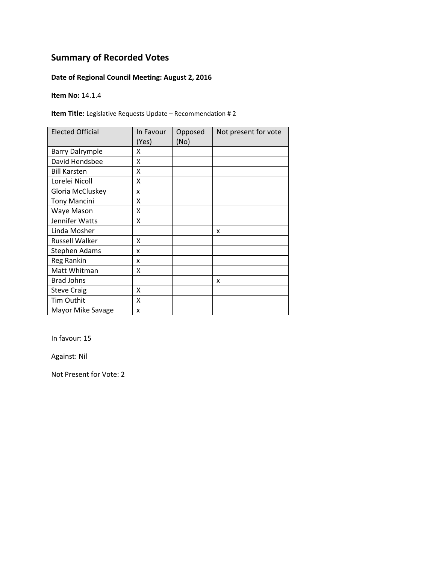### **Date of Regional Council Meeting: August 2, 2016**

**Item No:** 14.1.4

**Item Title:** Legislative Requests Update – Recommendation # 2

| <b>Elected Official</b> | In Favour<br>(Yes) | Opposed<br>(No) | Not present for vote |
|-------------------------|--------------------|-----------------|----------------------|
| <b>Barry Dalrymple</b>  | x                  |                 |                      |
| David Hendsbee          | X                  |                 |                      |
| <b>Bill Karsten</b>     | X                  |                 |                      |
| Lorelei Nicoll          | X                  |                 |                      |
| Gloria McCluskey        | x                  |                 |                      |
| <b>Tony Mancini</b>     | X                  |                 |                      |
| Waye Mason              | Χ                  |                 |                      |
| Jennifer Watts          | Χ                  |                 |                      |
| Linda Mosher            |                    |                 | X                    |
| <b>Russell Walker</b>   | x                  |                 |                      |
| <b>Stephen Adams</b>    | x                  |                 |                      |
| Reg Rankin              | x                  |                 |                      |
| Matt Whitman            | x                  |                 |                      |
| <b>Brad Johns</b>       |                    |                 | x                    |
| <b>Steve Craig</b>      | X                  |                 |                      |
| Tim Outhit              | Χ                  |                 |                      |
| Mayor Mike Savage       | x                  |                 |                      |

In favour: 15

Against: Nil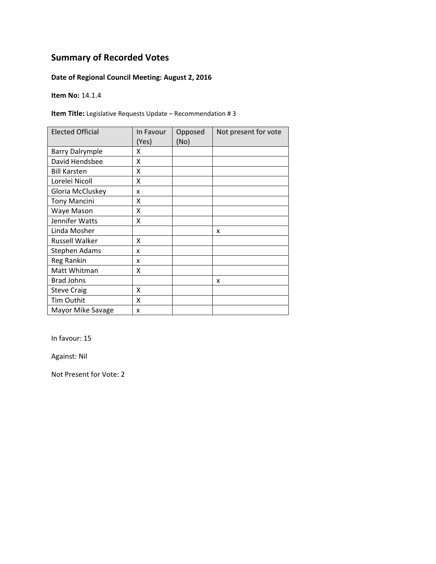### **Date of Regional Council Meeting: August 2, 2016**

**Item No:** 14.1.4

**Item Title:** Legislative Requests Update – Recommendation # 3

| <b>Elected Official</b> | In Favour<br>(Yes) | Opposed<br>(No) | Not present for vote |
|-------------------------|--------------------|-----------------|----------------------|
| <b>Barry Dalrymple</b>  | x                  |                 |                      |
| David Hendsbee          | x                  |                 |                      |
| <b>Bill Karsten</b>     | x                  |                 |                      |
| Lorelei Nicoll          | X                  |                 |                      |
| Gloria McCluskey        | x                  |                 |                      |
| <b>Tony Mancini</b>     | x                  |                 |                      |
| Waye Mason              | Χ                  |                 |                      |
| Jennifer Watts          | x                  |                 |                      |
| Linda Mosher            |                    |                 | x                    |
| <b>Russell Walker</b>   | x                  |                 |                      |
| <b>Stephen Adams</b>    | x                  |                 |                      |
| Reg Rankin              | x                  |                 |                      |
| Matt Whitman            | Χ                  |                 |                      |
| <b>Brad Johns</b>       |                    |                 | x                    |
| <b>Steve Craig</b>      | x                  |                 |                      |
| <b>Tim Outhit</b>       | X                  |                 |                      |
| Mayor Mike Savage       | X                  |                 |                      |

In favour: 15

Against: Nil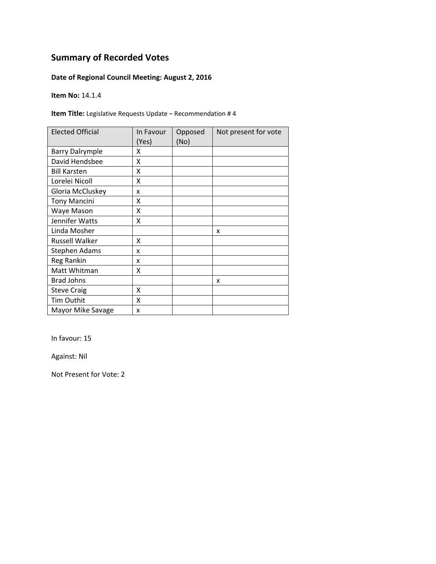### **Date of Regional Council Meeting: August 2, 2016**

**Item No:** 14.1.4

**Item Title:** Legislative Requests Update – Recommendation # 4

| <b>Elected Official</b> | In Favour<br>(Yes) | Opposed<br>(No) | Not present for vote |
|-------------------------|--------------------|-----------------|----------------------|
| <b>Barry Dalrymple</b>  | x                  |                 |                      |
| David Hendsbee          | x                  |                 |                      |
| <b>Bill Karsten</b>     | x                  |                 |                      |
| Lorelei Nicoll          | X                  |                 |                      |
| Gloria McCluskey        | x                  |                 |                      |
| <b>Tony Mancini</b>     | x                  |                 |                      |
| Waye Mason              | Χ                  |                 |                      |
| Jennifer Watts          | x                  |                 |                      |
| Linda Mosher            |                    |                 | x                    |
| <b>Russell Walker</b>   | x                  |                 |                      |
| <b>Stephen Adams</b>    | x                  |                 |                      |
| Reg Rankin              | x                  |                 |                      |
| Matt Whitman            | Χ                  |                 |                      |
| <b>Brad Johns</b>       |                    |                 | x                    |
| <b>Steve Craig</b>      | x                  |                 |                      |
| <b>Tim Outhit</b>       | X                  |                 |                      |
| Mayor Mike Savage       | X                  |                 |                      |

In favour: 15

Against: Nil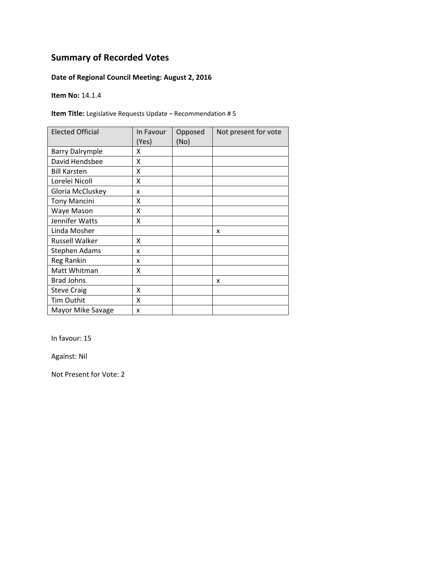### **Date of Regional Council Meeting: August 2, 2016**

**Item No:** 14.1.4

**Item Title:** Legislative Requests Update – Recommendation # 5

| <b>Elected Official</b> | In Favour<br>(Yes) | Opposed<br>(No) | Not present for vote |
|-------------------------|--------------------|-----------------|----------------------|
| <b>Barry Dalrymple</b>  | x                  |                 |                      |
| David Hendsbee          | x                  |                 |                      |
| <b>Bill Karsten</b>     | x                  |                 |                      |
| Lorelei Nicoll          | X                  |                 |                      |
| Gloria McCluskey        | x                  |                 |                      |
| <b>Tony Mancini</b>     | x                  |                 |                      |
| Waye Mason              | Χ                  |                 |                      |
| Jennifer Watts          | x                  |                 |                      |
| Linda Mosher            |                    |                 | x                    |
| <b>Russell Walker</b>   | x                  |                 |                      |
| <b>Stephen Adams</b>    | x                  |                 |                      |
| Reg Rankin              | x                  |                 |                      |
| Matt Whitman            | Χ                  |                 |                      |
| <b>Brad Johns</b>       |                    |                 | x                    |
| <b>Steve Craig</b>      | x                  |                 |                      |
| <b>Tim Outhit</b>       | X                  |                 |                      |
| Mayor Mike Savage       | X                  |                 |                      |

In favour: 15

Against: Nil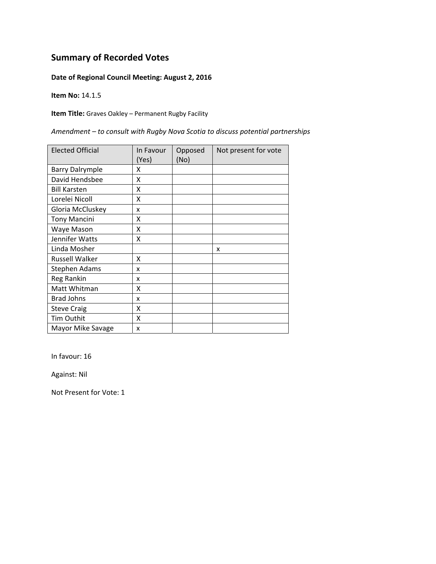#### **Date of Regional Council Meeting: August 2, 2016**

**Item No:** 14.1.5

**Item Title:** Graves Oakley – Permanent Rugby Facility

*Amendment – to consult with Rugby Nova Scotia to discuss potential partnerships*

| <b>Elected Official</b> | In Favour<br>(Yes) | Opposed<br>(No) | Not present for vote |
|-------------------------|--------------------|-----------------|----------------------|
| <b>Barry Dalrymple</b>  | x                  |                 |                      |
| David Hendsbee          | X                  |                 |                      |
| <b>Bill Karsten</b>     | X                  |                 |                      |
| Lorelei Nicoll          | X                  |                 |                      |
| Gloria McCluskey        | x                  |                 |                      |
| <b>Tony Mancini</b>     | Χ                  |                 |                      |
| Waye Mason              | Χ                  |                 |                      |
| Jennifer Watts          | Χ                  |                 |                      |
| Linda Mosher            |                    |                 | x                    |
| Russell Walker          | x                  |                 |                      |
| Stephen Adams           | x                  |                 |                      |
| Reg Rankin              | x                  |                 |                      |
| Matt Whitman            | Χ                  |                 |                      |
| <b>Brad Johns</b>       | x                  |                 |                      |
| <b>Steve Craig</b>      | Χ                  |                 |                      |
| Tim Outhit              | X                  |                 |                      |
| Mayor Mike Savage       | x                  |                 |                      |

In favour: 16

Against: Nil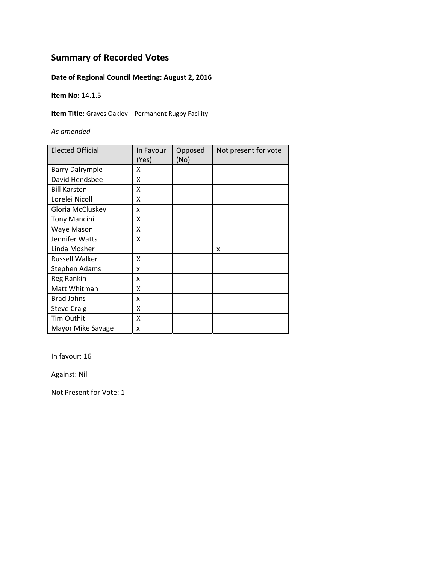### **Date of Regional Council Meeting: August 2, 2016**

**Item No:** 14.1.5

**Item Title:** Graves Oakley – Permanent Rugby Facility

*As amended*

| <b>Elected Official</b> | In Favour<br>(Yes) | Opposed<br>(No) | Not present for vote |
|-------------------------|--------------------|-----------------|----------------------|
| <b>Barry Dalrymple</b>  | x                  |                 |                      |
| David Hendsbee          | x                  |                 |                      |
| <b>Bill Karsten</b>     | x                  |                 |                      |
| Lorelei Nicoll          | Χ                  |                 |                      |
| Gloria McCluskey        | x                  |                 |                      |
| <b>Tony Mancini</b>     | x                  |                 |                      |
| Waye Mason              | X                  |                 |                      |
| Jennifer Watts          | x                  |                 |                      |
| Linda Mosher            |                    |                 | x                    |
| <b>Russell Walker</b>   | x                  |                 |                      |
| Stephen Adams           | x                  |                 |                      |
| Reg Rankin              | x                  |                 |                      |
| Matt Whitman            | X                  |                 |                      |
| <b>Brad Johns</b>       | x                  |                 |                      |
| <b>Steve Craig</b>      | X                  |                 |                      |
| <b>Tim Outhit</b>       | X                  |                 |                      |
| Mayor Mike Savage       | X                  |                 |                      |

In favour: 16

Against: Nil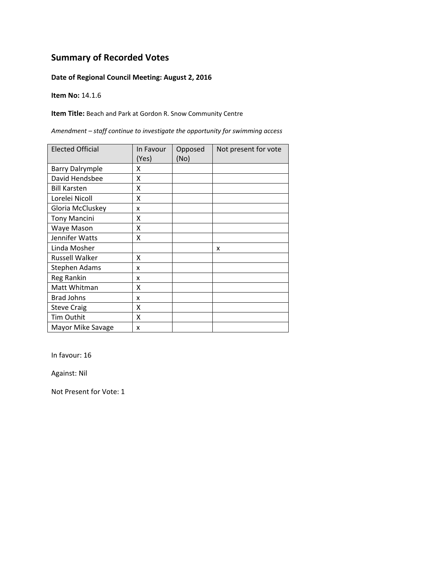#### **Date of Regional Council Meeting: August 2, 2016**

**Item No:** 14.1.6

**Item Title:** Beach and Park at Gordon R. Snow Community Centre

*Amendment – staff continue to investigate the opportunity for swimming access*

| <b>Elected Official</b> | In Favour<br>(Yes) | Opposed<br>(No) | Not present for vote |
|-------------------------|--------------------|-----------------|----------------------|
| <b>Barry Dalrymple</b>  | x                  |                 |                      |
| David Hendsbee          | X                  |                 |                      |
| <b>Bill Karsten</b>     | X                  |                 |                      |
| Lorelei Nicoll          | X                  |                 |                      |
| Gloria McCluskey        | x                  |                 |                      |
| <b>Tony Mancini</b>     | X                  |                 |                      |
| Waye Mason              | Χ                  |                 |                      |
| Jennifer Watts          | Χ                  |                 |                      |
| Linda Mosher            |                    |                 | x                    |
| <b>Russell Walker</b>   | X                  |                 |                      |
| Stephen Adams           | x                  |                 |                      |
| Reg Rankin              | x                  |                 |                      |
| Matt Whitman            | χ                  |                 |                      |
| <b>Brad Johns</b>       | x                  |                 |                      |
| <b>Steve Craig</b>      | X                  |                 |                      |
| Tim Outhit              | X                  |                 |                      |
| Mayor Mike Savage       | x                  |                 |                      |

In favour: 16

Against: Nil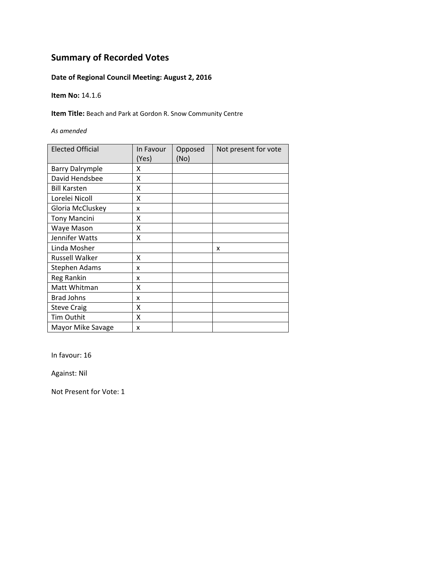### **Date of Regional Council Meeting: August 2, 2016**

**Item No:** 14.1.6

**Item Title:** Beach and Park at Gordon R. Snow Community Centre

*As amended*

| <b>Elected Official</b> | In Favour<br>(Yes) | Opposed<br>(No) | Not present for vote |
|-------------------------|--------------------|-----------------|----------------------|
| <b>Barry Dalrymple</b>  | x                  |                 |                      |
| David Hendsbee          | x                  |                 |                      |
| <b>Bill Karsten</b>     | X                  |                 |                      |
| Lorelei Nicoll          | X                  |                 |                      |
| Gloria McCluskey        | x                  |                 |                      |
| <b>Tony Mancini</b>     | x                  |                 |                      |
| Waye Mason              | Χ                  |                 |                      |
| Jennifer Watts          | x                  |                 |                      |
| Linda Mosher            |                    |                 | x                    |
| <b>Russell Walker</b>   | x                  |                 |                      |
| <b>Stephen Adams</b>    | x                  |                 |                      |
| Reg Rankin              | x                  |                 |                      |
| Matt Whitman            | χ                  |                 |                      |
| <b>Brad Johns</b>       | x                  |                 |                      |
| <b>Steve Craig</b>      | Χ                  |                 |                      |
| <b>Tim Outhit</b>       | Χ                  |                 |                      |
| Mayor Mike Savage       | x                  |                 |                      |

In favour: 16

Against: Nil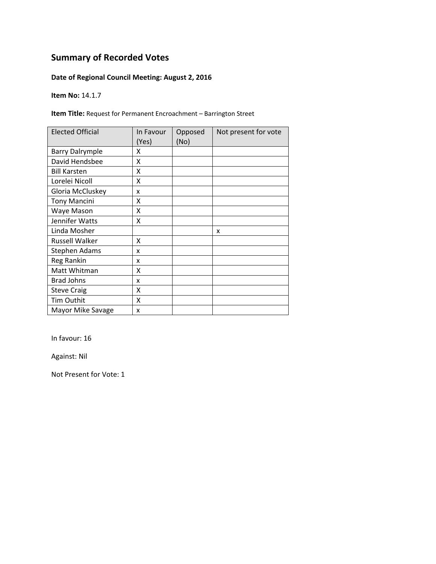### **Date of Regional Council Meeting: August 2, 2016**

**Item No:** 14.1.7

**Item Title:** Request for Permanent Encroachment – Barrington Street

| <b>Elected Official</b> | In Favour<br>(Yes) | Opposed<br>(No) | Not present for vote |
|-------------------------|--------------------|-----------------|----------------------|
| <b>Barry Dalrymple</b>  | x                  |                 |                      |
| David Hendsbee          | X                  |                 |                      |
| <b>Bill Karsten</b>     | X                  |                 |                      |
| Lorelei Nicoll          | X                  |                 |                      |
| Gloria McCluskey        | x                  |                 |                      |
| <b>Tony Mancini</b>     | Χ                  |                 |                      |
| Waye Mason              | Χ                  |                 |                      |
| Jennifer Watts          | Χ                  |                 |                      |
| Linda Mosher            |                    |                 | x                    |
| Russell Walker          | x                  |                 |                      |
| Stephen Adams           | x                  |                 |                      |
| Reg Rankin              | x                  |                 |                      |
| Matt Whitman            | Χ                  |                 |                      |
| <b>Brad Johns</b>       | x                  |                 |                      |
| <b>Steve Craig</b>      | X                  |                 |                      |
| Tim Outhit              | X                  |                 |                      |
| Mayor Mike Savage       | x                  |                 |                      |

In favour: 16

Against: Nil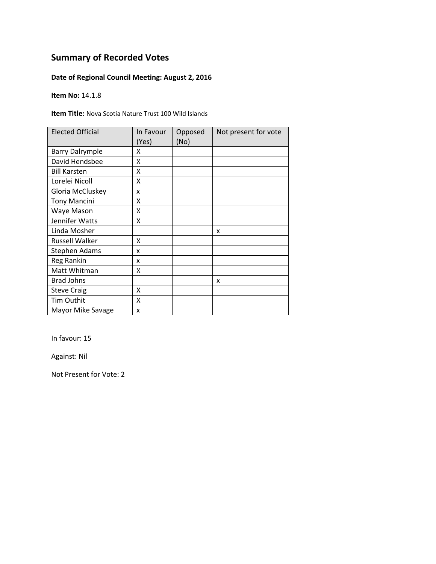### **Date of Regional Council Meeting: August 2, 2016**

**Item No:** 14.1.8

**Item Title:** Nova Scotia Nature Trust 100 Wild Islands

| <b>Elected Official</b> | In Favour<br>(Yes) | Opposed<br>(No) | Not present for vote |
|-------------------------|--------------------|-----------------|----------------------|
| <b>Barry Dalrymple</b>  | x                  |                 |                      |
| David Hendsbee          | x                  |                 |                      |
| <b>Bill Karsten</b>     | x                  |                 |                      |
| Lorelei Nicoll          | X                  |                 |                      |
| Gloria McCluskey        | x                  |                 |                      |
| <b>Tony Mancini</b>     | x                  |                 |                      |
| Waye Mason              | Χ                  |                 |                      |
| Jennifer Watts          | x                  |                 |                      |
| Linda Mosher            |                    |                 | x                    |
| <b>Russell Walker</b>   | x                  |                 |                      |
| <b>Stephen Adams</b>    | x                  |                 |                      |
| Reg Rankin              | x                  |                 |                      |
| Matt Whitman            | Χ                  |                 |                      |
| <b>Brad Johns</b>       |                    |                 | x                    |
| <b>Steve Craig</b>      | x                  |                 |                      |
| <b>Tim Outhit</b>       | X                  |                 |                      |
| Mayor Mike Savage       | X                  |                 |                      |

In favour: 15

Against: Nil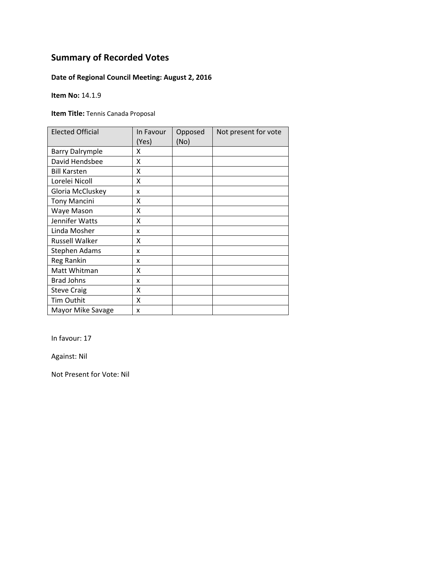### **Date of Regional Council Meeting: August 2, 2016**

**Item No:** 14.1.9

**Item Title:** Tennis Canada Proposal

| <b>Elected Official</b> | In Favour<br>(Yes) | Opposed<br>(No) | Not present for vote |
|-------------------------|--------------------|-----------------|----------------------|
| <b>Barry Dalrymple</b>  | χ                  |                 |                      |
| David Hendsbee          | x                  |                 |                      |
| <b>Bill Karsten</b>     | χ                  |                 |                      |
| Lorelei Nicoll          | X                  |                 |                      |
| Gloria McCluskey        | x                  |                 |                      |
| <b>Tony Mancini</b>     | Χ                  |                 |                      |
| Waye Mason              | Χ                  |                 |                      |
| Jennifer Watts          | Χ                  |                 |                      |
| Linda Mosher            | x                  |                 |                      |
| <b>Russell Walker</b>   | χ                  |                 |                      |
| Stephen Adams           | x                  |                 |                      |
| Reg Rankin              | x                  |                 |                      |
| Matt Whitman            | Χ                  |                 |                      |
| <b>Brad Johns</b>       | x                  |                 |                      |
| <b>Steve Craig</b>      | Χ                  |                 |                      |
| <b>Tim Outhit</b>       | Χ                  |                 |                      |
| Mayor Mike Savage       | X                  |                 |                      |

In favour: 17

Against: Nil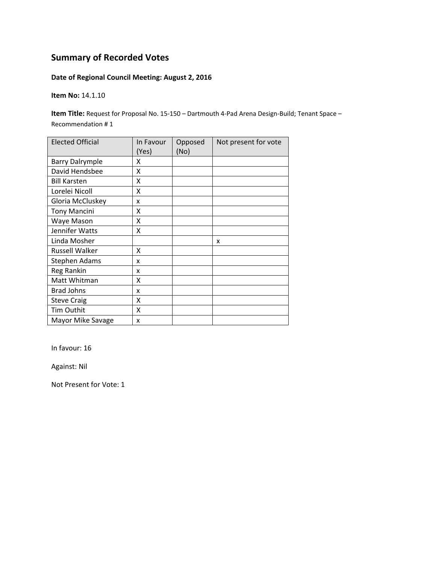### **Date of Regional Council Meeting: August 2, 2016**

**Item No:** 14.1.10

**Item Title:** Request for Proposal No. 15‐150 – Dartmouth 4‐Pad Arena Design‐Build; Tenant Space – Recommendation # 1

| <b>Elected Official</b> | In Favour<br>(Yes) | Opposed<br>(No) | Not present for vote |
|-------------------------|--------------------|-----------------|----------------------|
| <b>Barry Dalrymple</b>  | x                  |                 |                      |
| David Hendsbee          | x                  |                 |                      |
| <b>Bill Karsten</b>     | X                  |                 |                      |
| Lorelei Nicoll          | Χ                  |                 |                      |
| Gloria McCluskey        | x                  |                 |                      |
| <b>Tony Mancini</b>     | X                  |                 |                      |
| Waye Mason              | Χ                  |                 |                      |
| Jennifer Watts          | Χ                  |                 |                      |
| Linda Mosher            |                    |                 | X                    |
| <b>Russell Walker</b>   | X                  |                 |                      |
| <b>Stephen Adams</b>    | x                  |                 |                      |
| Reg Rankin              | x                  |                 |                      |
| Matt Whitman            | Χ                  |                 |                      |
| <b>Brad Johns</b>       | x                  |                 |                      |
| <b>Steve Craig</b>      | X                  |                 |                      |
| Tim Outhit              | X                  |                 |                      |
| Mayor Mike Savage       | x                  |                 |                      |

In favour: 16

Against: Nil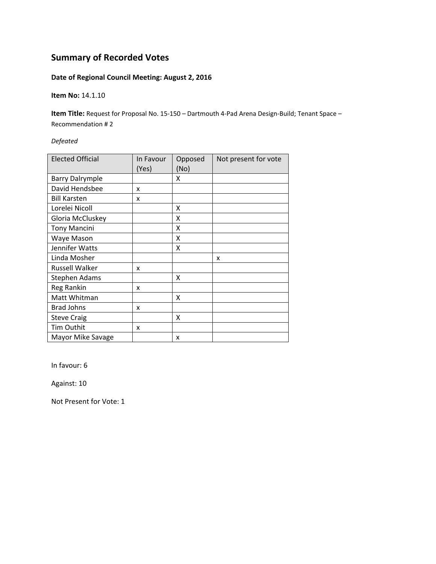### **Date of Regional Council Meeting: August 2, 2016**

**Item No:** 14.1.10

**Item Title:** Request for Proposal No. 15‐150 – Dartmouth 4‐Pad Arena Design‐Build; Tenant Space – Recommendation # 2

*Defeated*

| <b>Elected Official</b> | In Favour<br>(Yes) | Opposed<br>(No) | Not present for vote |
|-------------------------|--------------------|-----------------|----------------------|
| <b>Barry Dalrymple</b>  |                    | X               |                      |
| David Hendsbee          | x                  |                 |                      |
| <b>Bill Karsten</b>     | x                  |                 |                      |
| Lorelei Nicoll          |                    | x               |                      |
| Gloria McCluskey        |                    | X               |                      |
| <b>Tony Mancini</b>     |                    | X               |                      |
| Waye Mason              |                    | X               |                      |
| Jennifer Watts          |                    | X               |                      |
| Linda Mosher            |                    |                 | x                    |
| <b>Russell Walker</b>   | x                  |                 |                      |
| Stephen Adams           |                    | x               |                      |
| Reg Rankin              | x                  |                 |                      |
| Matt Whitman            |                    | X               |                      |
| <b>Brad Johns</b>       | x                  |                 |                      |
| <b>Steve Craig</b>      |                    | X               |                      |
| Tim Outhit              | x                  |                 |                      |
| Mayor Mike Savage       |                    | x               |                      |

In favour: 6

Against: 10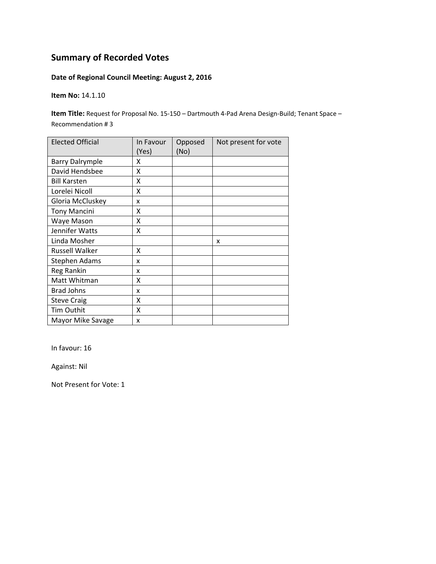### **Date of Regional Council Meeting: August 2, 2016**

**Item No:** 14.1.10

**Item Title:** Request for Proposal No. 15‐150 – Dartmouth 4‐Pad Arena Design‐Build; Tenant Space – Recommendation # 3

| <b>Elected Official</b> | In Favour<br>(Yes) | Opposed<br>(No) | Not present for vote |
|-------------------------|--------------------|-----------------|----------------------|
| <b>Barry Dalrymple</b>  | x                  |                 |                      |
| David Hendsbee          | x                  |                 |                      |
| <b>Bill Karsten</b>     | X                  |                 |                      |
| Lorelei Nicoll          | Χ                  |                 |                      |
| Gloria McCluskey        | x                  |                 |                      |
| <b>Tony Mancini</b>     | X                  |                 |                      |
| Waye Mason              | Χ                  |                 |                      |
| Jennifer Watts          | Χ                  |                 |                      |
| Linda Mosher            |                    |                 | X                    |
| <b>Russell Walker</b>   | X                  |                 |                      |
| <b>Stephen Adams</b>    | x                  |                 |                      |
| Reg Rankin              | x                  |                 |                      |
| Matt Whitman            | Χ                  |                 |                      |
| <b>Brad Johns</b>       | x                  |                 |                      |
| <b>Steve Craig</b>      | X                  |                 |                      |
| Tim Outhit              | X                  |                 |                      |
| Mayor Mike Savage       | x                  |                 |                      |

In favour: 16

Against: Nil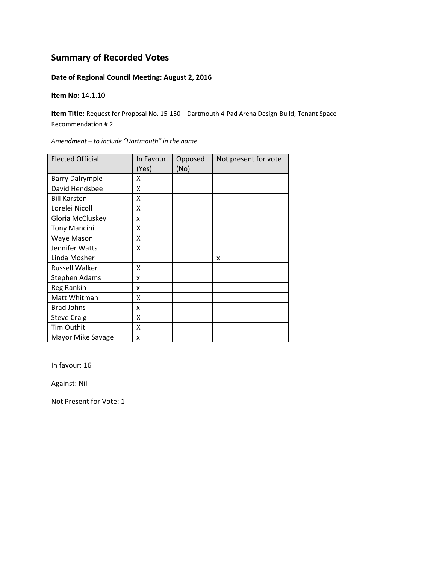#### **Date of Regional Council Meeting: August 2, 2016**

**Item No:** 14.1.10

**Item Title:** Request for Proposal No. 15‐150 – Dartmouth 4‐Pad Arena Design‐Build; Tenant Space – Recommendation # 2

| <b>Elected Official</b> | In Favour<br>(Yes) | Opposed<br>(No) | Not present for vote |
|-------------------------|--------------------|-----------------|----------------------|
| <b>Barry Dalrymple</b>  | x                  |                 |                      |
| David Hendsbee          | X                  |                 |                      |
| <b>Bill Karsten</b>     | X                  |                 |                      |
| Lorelei Nicoll          | X                  |                 |                      |
| Gloria McCluskey        | x                  |                 |                      |
| <b>Tony Mancini</b>     | x                  |                 |                      |
| Waye Mason              | x                  |                 |                      |
| Jennifer Watts          | X                  |                 |                      |
| Linda Mosher            |                    |                 | x                    |
| <b>Russell Walker</b>   | x                  |                 |                      |
| Stephen Adams           | x                  |                 |                      |
| Reg Rankin              | x                  |                 |                      |
| Matt Whitman            | Χ                  |                 |                      |
| <b>Brad Johns</b>       | x                  |                 |                      |
| <b>Steve Craig</b>      | Χ                  |                 |                      |
| Tim Outhit              | x                  |                 |                      |
| Mayor Mike Savage       | x                  |                 |                      |

*Amendment – to include "Dartmouth" in the name*

In favour: 16

Against: Nil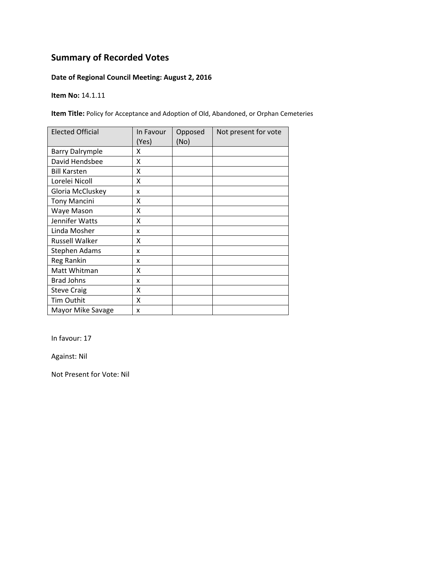### **Date of Regional Council Meeting: August 2, 2016**

**Item No:** 14.1.11

**Item Title:** Policy for Acceptance and Adoption of Old, Abandoned, or Orphan Cemeteries

| <b>Elected Official</b> | In Favour<br>(Yes) | Opposed<br>(No) | Not present for vote |
|-------------------------|--------------------|-----------------|----------------------|
| <b>Barry Dalrymple</b>  | x                  |                 |                      |
| David Hendsbee          | X                  |                 |                      |
| <b>Bill Karsten</b>     | X                  |                 |                      |
| Lorelei Nicoll          | X                  |                 |                      |
| Gloria McCluskey        | x                  |                 |                      |
| <b>Tony Mancini</b>     | Χ                  |                 |                      |
| Waye Mason              | x                  |                 |                      |
| Jennifer Watts          | x                  |                 |                      |
| Linda Mosher            | x                  |                 |                      |
| Russell Walker          | X                  |                 |                      |
| Stephen Adams           | x                  |                 |                      |
| Reg Rankin              | x                  |                 |                      |
| Matt Whitman            | X                  |                 |                      |
| <b>Brad Johns</b>       | x                  |                 |                      |
| <b>Steve Craig</b>      | Χ                  |                 |                      |
| Tim Outhit              | Χ                  |                 |                      |
| Mayor Mike Savage       | x                  |                 |                      |

In favour: 17

Against: Nil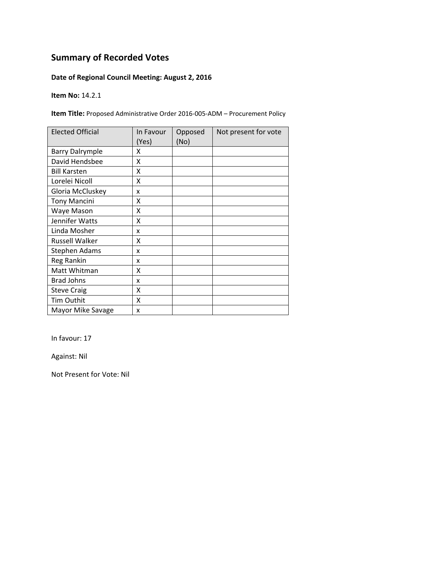### **Date of Regional Council Meeting: August 2, 2016**

**Item No:** 14.2.1

**Item Title:** Proposed Administrative Order 2016‐005‐ADM – Procurement Policy

| <b>Elected Official</b> | In Favour<br>(Yes) | Opposed<br>(No) | Not present for vote |
|-------------------------|--------------------|-----------------|----------------------|
| <b>Barry Dalrymple</b>  | x                  |                 |                      |
| David Hendsbee          | x                  |                 |                      |
| <b>Bill Karsten</b>     | x                  |                 |                      |
| Lorelei Nicoll          | X                  |                 |                      |
| Gloria McCluskey        | x                  |                 |                      |
| <b>Tony Mancini</b>     | Χ                  |                 |                      |
| Waye Mason              | Χ                  |                 |                      |
| Jennifer Watts          | Χ                  |                 |                      |
| Linda Mosher            | x                  |                 |                      |
| Russell Walker          | χ                  |                 |                      |
| Stephen Adams           | x                  |                 |                      |
| Reg Rankin              | x                  |                 |                      |
| Matt Whitman            | X                  |                 |                      |
| <b>Brad Johns</b>       | x                  |                 |                      |
| <b>Steve Craig</b>      | X                  |                 |                      |
| Tim Outhit              | X                  |                 |                      |
| Mayor Mike Savage       | x                  |                 |                      |

In favour: 17

Against: Nil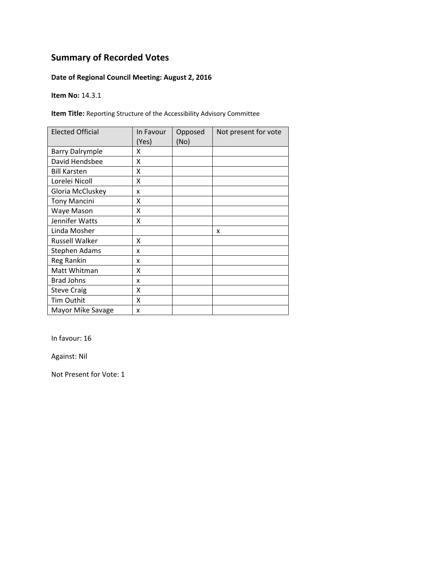### **Date of Regional Council Meeting: August 2, 2016**

**Item No:** 14.3.1

**Item Title:** Reporting Structure of the Accessibility Advisory Committee

| <b>Elected Official</b> | In Favour<br>(Yes) | Opposed<br>(No) | Not present for vote |
|-------------------------|--------------------|-----------------|----------------------|
| <b>Barry Dalrymple</b>  | x                  |                 |                      |
| David Hendsbee          | X                  |                 |                      |
| <b>Bill Karsten</b>     | X                  |                 |                      |
| Lorelei Nicoll          | X                  |                 |                      |
| Gloria McCluskey        | x                  |                 |                      |
| <b>Tony Mancini</b>     | Χ                  |                 |                      |
| Waye Mason              | Χ                  |                 |                      |
| Jennifer Watts          | Χ                  |                 |                      |
| Linda Mosher            |                    |                 | x                    |
| Russell Walker          | x                  |                 |                      |
| Stephen Adams           | x                  |                 |                      |
| Reg Rankin              | x                  |                 |                      |
| Matt Whitman            | Χ                  |                 |                      |
| <b>Brad Johns</b>       | x                  |                 |                      |
| <b>Steve Craig</b>      | X                  |                 |                      |
| Tim Outhit              | X                  |                 |                      |
| Mayor Mike Savage       | x                  |                 |                      |

In favour: 16

Against: Nil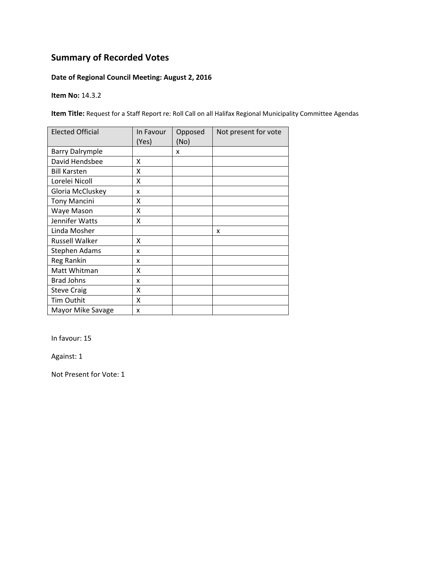### **Date of Regional Council Meeting: August 2, 2016**

**Item No:** 14.3.2

**Item Title:** Request for a Staff Report re: Roll Call on all Halifax Regional Municipality Committee Agendas

| <b>Elected Official</b> | In Favour | Opposed | Not present for vote |
|-------------------------|-----------|---------|----------------------|
|                         | (Yes)     | (No)    |                      |
| <b>Barry Dalrymple</b>  |           | x       |                      |
| David Hendsbee          | x         |         |                      |
| <b>Bill Karsten</b>     | Χ         |         |                      |
| Lorelei Nicoll          | Χ         |         |                      |
| Gloria McCluskey        | x         |         |                      |
| <b>Tony Mancini</b>     | x         |         |                      |
| Waye Mason              | x         |         |                      |
| Jennifer Watts          | X         |         |                      |
| Linda Mosher            |           |         | x                    |
| <b>Russell Walker</b>   | Χ         |         |                      |
| <b>Stephen Adams</b>    | x         |         |                      |
| Reg Rankin              | x         |         |                      |
| Matt Whitman            | Χ         |         |                      |
| <b>Brad Johns</b>       | x         |         |                      |
| <b>Steve Craig</b>      | X         |         |                      |
| Tim Outhit              | X         |         |                      |
| Mayor Mike Savage       | X         |         |                      |

In favour: 15

Against: 1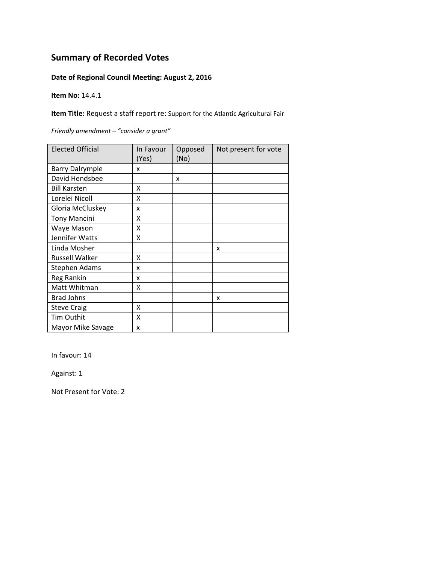#### **Date of Regional Council Meeting: August 2, 2016**

**Item No:** 14.4.1

**Item Title:** Request a staff report re: Support for the Atlantic Agricultural Fair

Elected Official | In Favour (Yes) Opposed (No) Not present for vote Barry Dalrymple x David Hendsbee | x Bill Karsten X Lorelei Nicoll X Gloria McCluskey | x Tony Mancini X Waye Mason X Jennifer Watts X Linda Mosher **1** and  $\vert x \vert$  x Russell Walker X Stephen Adams | x Reg Rankin X Matt Whitman X Brad Johns  $\vert x \vert$  x Steve Craig X Tim Outhit X Mayor Mike Savage  $\vert x \vert$ 

*Friendly amendment – "consider a grant"*

In favour: 14

Against: 1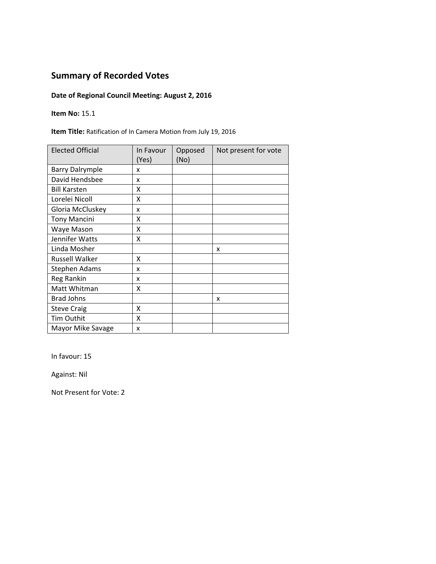### **Date of Regional Council Meeting: August 2, 2016**

**Item No:** 15.1

**Item Title:** Ratification of In Camera Motion from July 19, 2016

| <b>Elected Official</b> | In Favour<br>(Yes) | Opposed<br>(No) | Not present for vote |
|-------------------------|--------------------|-----------------|----------------------|
| <b>Barry Dalrymple</b>  | x                  |                 |                      |
| David Hendsbee          | X                  |                 |                      |
| <b>Bill Karsten</b>     | x                  |                 |                      |
| Lorelei Nicoll          | X                  |                 |                      |
| Gloria McCluskey        | X                  |                 |                      |
| <b>Tony Mancini</b>     | x                  |                 |                      |
| Waye Mason              | Χ                  |                 |                      |
| Jennifer Watts          | Χ                  |                 |                      |
| Linda Mosher            |                    |                 | x                    |
| <b>Russell Walker</b>   | x                  |                 |                      |
| <b>Stephen Adams</b>    | x                  |                 |                      |
| Reg Rankin              | x                  |                 |                      |
| Matt Whitman            | χ                  |                 |                      |
| <b>Brad Johns</b>       |                    |                 | x                    |
| <b>Steve Craig</b>      | X                  |                 |                      |
| Tim Outhit              | X                  |                 |                      |
| Mayor Mike Savage       | X                  |                 |                      |

In favour: 15

Against: Nil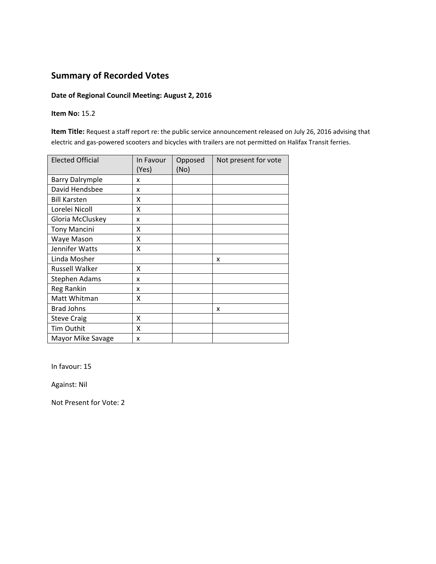#### **Date of Regional Council Meeting: August 2, 2016**

#### **Item No:** 15.2

**Item Title:** Request a staff report re: the public service announcement released on July 26, 2016 advising that electric and gas‐powered scooters and bicycles with trailers are not permitted on Halifax Transit ferries.

| <b>Elected Official</b> | In Favour<br>(Yes) | Opposed<br>(No) | Not present for vote |
|-------------------------|--------------------|-----------------|----------------------|
| <b>Barry Dalrymple</b>  | x                  |                 |                      |
| David Hendsbee          | x                  |                 |                      |
| <b>Bill Karsten</b>     | x                  |                 |                      |
| Lorelei Nicoll          | X                  |                 |                      |
| Gloria McCluskey        | x                  |                 |                      |
| <b>Tony Mancini</b>     | χ                  |                 |                      |
| Waye Mason              | X                  |                 |                      |
| Jennifer Watts          | X                  |                 |                      |
| Linda Mosher            |                    |                 | x                    |
| <b>Russell Walker</b>   | X                  |                 |                      |
| Stephen Adams           | x                  |                 |                      |
| Reg Rankin              | x                  |                 |                      |
| Matt Whitman            | X                  |                 |                      |
| <b>Brad Johns</b>       |                    |                 | X                    |
| <b>Steve Craig</b>      | X                  |                 |                      |
| Tim Outhit              | X                  |                 |                      |
| Mayor Mike Savage       | x                  |                 |                      |

In favour: 15

Against: Nil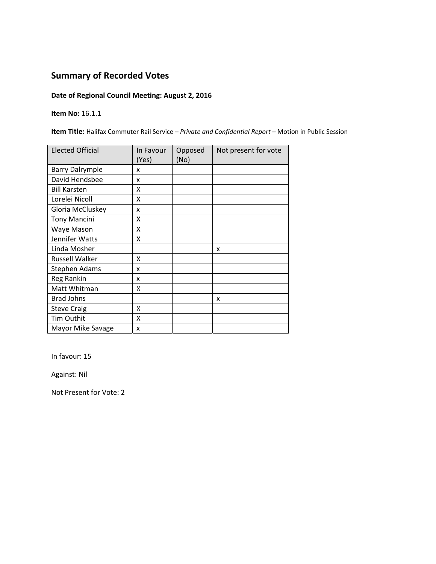### **Date of Regional Council Meeting: August 2, 2016**

**Item No:** 16.1.1

**Item Title:** Halifax Commuter Rail Service – *Private and Confidential Report –* Motion in Public Session

| <b>Elected Official</b> | In Favour<br>(Yes) | Opposed<br>(No) | Not present for vote |
|-------------------------|--------------------|-----------------|----------------------|
| <b>Barry Dalrymple</b>  | x                  |                 |                      |
| David Hendsbee          | x                  |                 |                      |
| <b>Bill Karsten</b>     | x                  |                 |                      |
| Lorelei Nicoll          | Χ                  |                 |                      |
| Gloria McCluskey        | x                  |                 |                      |
| <b>Tony Mancini</b>     | x                  |                 |                      |
| Waye Mason              | X                  |                 |                      |
| Jennifer Watts          | x                  |                 |                      |
| Linda Mosher            |                    |                 | x                    |
| Russell Walker          | x                  |                 |                      |
| <b>Stephen Adams</b>    | x                  |                 |                      |
| Reg Rankin              | x                  |                 |                      |
| Matt Whitman            | X                  |                 |                      |
| <b>Brad Johns</b>       |                    |                 | X                    |
| <b>Steve Craig</b>      | X                  |                 |                      |
| Tim Outhit              | X                  |                 |                      |
| Mayor Mike Savage       | X                  |                 |                      |

In favour: 15

Against: Nil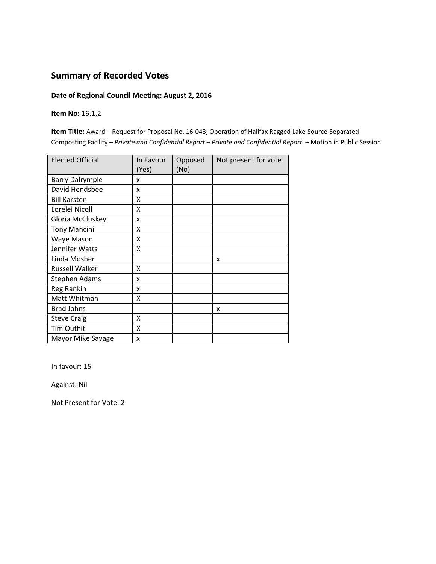#### **Date of Regional Council Meeting: August 2, 2016**

**Item No:** 16.1.2

**Item Title:** Award – Request for Proposal No. 16‐043, Operation of Halifax Ragged Lake Source‐Separated Composting Facility – *Private and Confidential Report – Private and Confidential Report –* Motion in Public Session

| <b>Elected Official</b> | In Favour | Opposed | Not present for vote |
|-------------------------|-----------|---------|----------------------|
|                         | (Yes)     | (No)    |                      |
| <b>Barry Dalrymple</b>  | x         |         |                      |
| David Hendsbee          | x         |         |                      |
| <b>Bill Karsten</b>     | X         |         |                      |
| Lorelei Nicoll          | X         |         |                      |
| Gloria McCluskey        | x         |         |                      |
| <b>Tony Mancini</b>     | X         |         |                      |
| Waye Mason              | X         |         |                      |
| Jennifer Watts          | X         |         |                      |
| Linda Mosher            |           |         | X                    |
| <b>Russell Walker</b>   | x         |         |                      |
| Stephen Adams           | x         |         |                      |
| Reg Rankin              | x         |         |                      |
| Matt Whitman            | X         |         |                      |
| <b>Brad Johns</b>       |           |         | X                    |
| <b>Steve Craig</b>      | X         |         |                      |
| Tim Outhit              | Χ         |         |                      |
| Mayor Mike Savage       | x         |         |                      |

In favour: 15

Against: Nil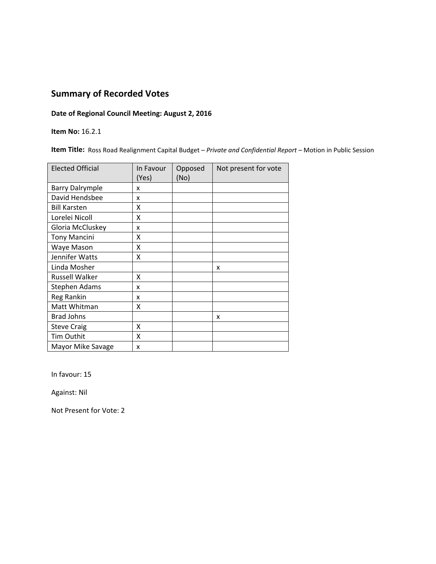#### **Date of Regional Council Meeting: August 2, 2016**

**Item No:** 16.2.1

**Item Title:** Ross Road Realignment Capital Budget *– Private and Confidential Report* – Motion in Public Session

| <b>Elected Official</b> | In Favour<br>(Yes) | Opposed<br>(No) | Not present for vote |
|-------------------------|--------------------|-----------------|----------------------|
| <b>Barry Dalrymple</b>  | x                  |                 |                      |
| David Hendsbee          | x                  |                 |                      |
| <b>Bill Karsten</b>     | X                  |                 |                      |
| Lorelei Nicoll          | X                  |                 |                      |
| Gloria McCluskey        | x                  |                 |                      |
| <b>Tony Mancini</b>     | X                  |                 |                      |
| Waye Mason              | X                  |                 |                      |
| Jennifer Watts          | X                  |                 |                      |
| Linda Mosher            |                    |                 | X                    |
| <b>Russell Walker</b>   | χ                  |                 |                      |
| <b>Stephen Adams</b>    | x                  |                 |                      |
| Reg Rankin              | x                  |                 |                      |
| Matt Whitman            | Χ                  |                 |                      |
| <b>Brad Johns</b>       |                    |                 | x                    |
| <b>Steve Craig</b>      | X                  |                 |                      |
| Tim Outhit              | X                  |                 |                      |
| Mayor Mike Savage       | x                  |                 |                      |

In favour: 15

Against: Nil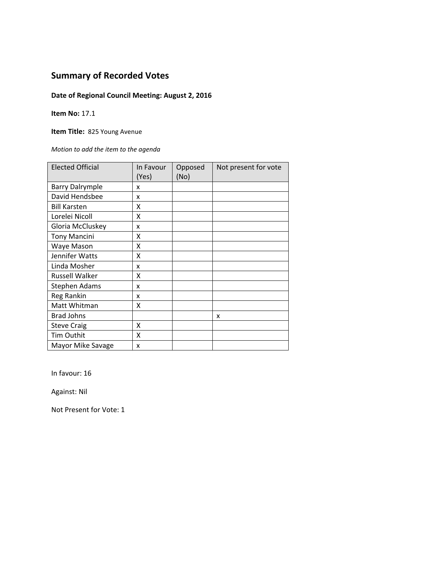### **Date of Regional Council Meeting: August 2, 2016**

**Item No:** 17.1

**Item Title:** 825 Young Avenue

*Motion to add the item to the agenda*

| <b>Elected Official</b> | In Favour<br>(Yes) | Opposed<br>(No) | Not present for vote |
|-------------------------|--------------------|-----------------|----------------------|
| <b>Barry Dalrymple</b>  | x                  |                 |                      |
| David Hendsbee          | X                  |                 |                      |
| <b>Bill Karsten</b>     | X                  |                 |                      |
| Lorelei Nicoll          | X                  |                 |                      |
| Gloria McCluskey        | X                  |                 |                      |
| <b>Tony Mancini</b>     | x                  |                 |                      |
| Waye Mason              | X                  |                 |                      |
| Jennifer Watts          | X                  |                 |                      |
| Linda Mosher            | X                  |                 |                      |
| <b>Russell Walker</b>   | X                  |                 |                      |
| Stephen Adams           | x                  |                 |                      |
| Reg Rankin              | x                  |                 |                      |
| Matt Whitman            | x                  |                 |                      |
| <b>Brad Johns</b>       |                    |                 | x                    |
| <b>Steve Craig</b>      | x                  |                 |                      |
| Tim Outhit              | X                  |                 |                      |
| Mayor Mike Savage       | x                  |                 |                      |

In favour: 16

Against: Nil